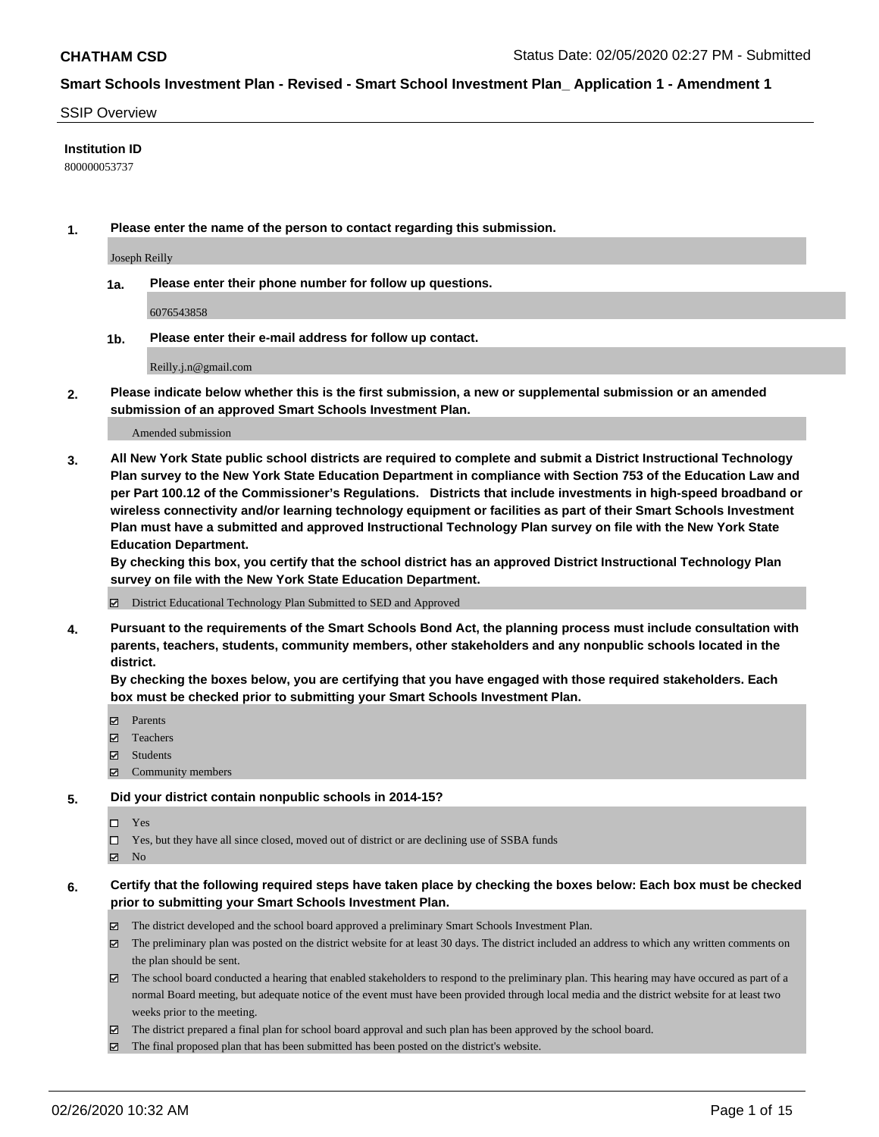### SSIP Overview

### **Institution ID**

800000053737

**1. Please enter the name of the person to contact regarding this submission.**

Joseph Reilly

**1a. Please enter their phone number for follow up questions.**

6076543858

**1b. Please enter their e-mail address for follow up contact.**

Reilly.j.n@gmail.com

**2. Please indicate below whether this is the first submission, a new or supplemental submission or an amended submission of an approved Smart Schools Investment Plan.**

#### Amended submission

**3. All New York State public school districts are required to complete and submit a District Instructional Technology Plan survey to the New York State Education Department in compliance with Section 753 of the Education Law and per Part 100.12 of the Commissioner's Regulations. Districts that include investments in high-speed broadband or wireless connectivity and/or learning technology equipment or facilities as part of their Smart Schools Investment Plan must have a submitted and approved Instructional Technology Plan survey on file with the New York State Education Department.** 

**By checking this box, you certify that the school district has an approved District Instructional Technology Plan survey on file with the New York State Education Department.**

District Educational Technology Plan Submitted to SED and Approved

**4. Pursuant to the requirements of the Smart Schools Bond Act, the planning process must include consultation with parents, teachers, students, community members, other stakeholders and any nonpublic schools located in the district.** 

**By checking the boxes below, you are certifying that you have engaged with those required stakeholders. Each box must be checked prior to submitting your Smart Schools Investment Plan.**

- **マ** Parents
- Teachers
- Students
- $\Xi$  Community members

### **5. Did your district contain nonpublic schools in 2014-15?**

 $\neg$  Yes

Yes, but they have all since closed, moved out of district or are declining use of SSBA funds

**Z** No

## **6. Certify that the following required steps have taken place by checking the boxes below: Each box must be checked prior to submitting your Smart Schools Investment Plan.**

- The district developed and the school board approved a preliminary Smart Schools Investment Plan.
- $\boxtimes$  The preliminary plan was posted on the district website for at least 30 days. The district included an address to which any written comments on the plan should be sent.
- $\boxtimes$  The school board conducted a hearing that enabled stakeholders to respond to the preliminary plan. This hearing may have occured as part of a normal Board meeting, but adequate notice of the event must have been provided through local media and the district website for at least two weeks prior to the meeting.
- The district prepared a final plan for school board approval and such plan has been approved by the school board.
- The final proposed plan that has been submitted has been posted on the district's website.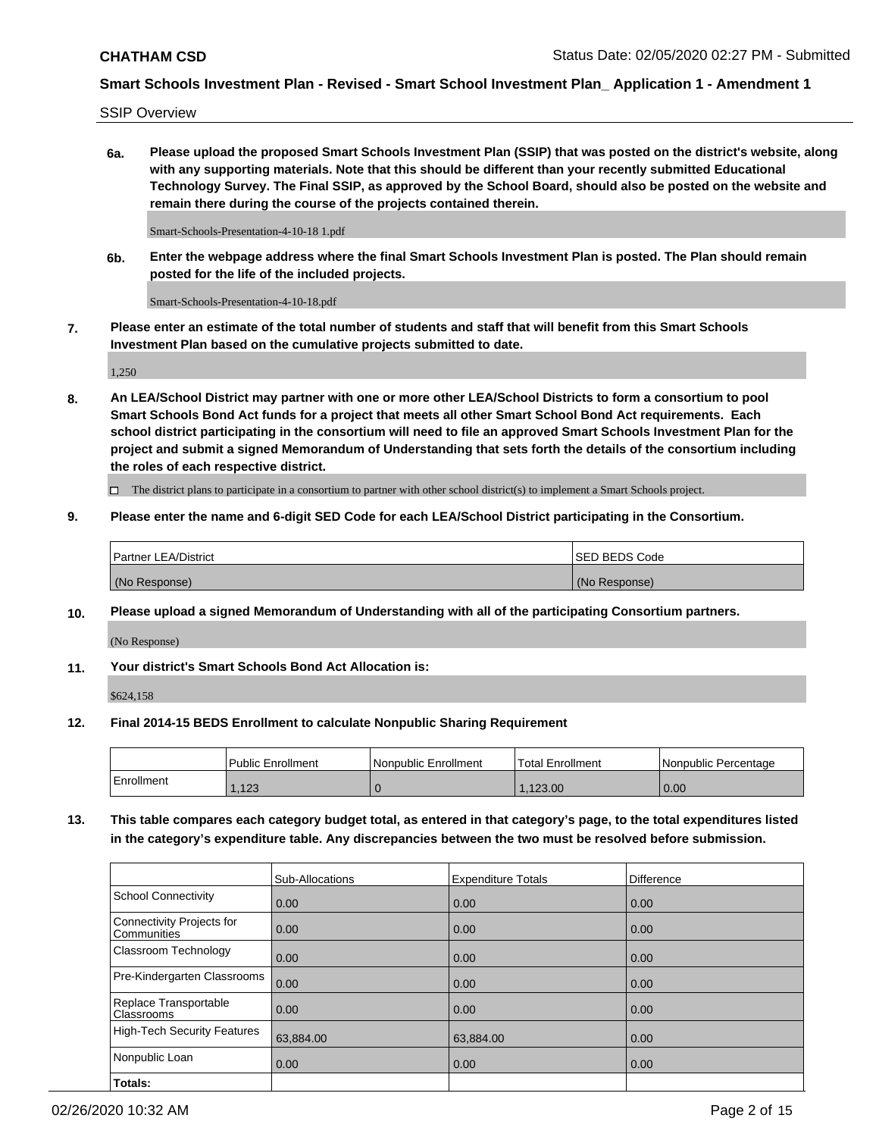SSIP Overview

**6a. Please upload the proposed Smart Schools Investment Plan (SSIP) that was posted on the district's website, along with any supporting materials. Note that this should be different than your recently submitted Educational Technology Survey. The Final SSIP, as approved by the School Board, should also be posted on the website and remain there during the course of the projects contained therein.**

Smart-Schools-Presentation-4-10-18 1.pdf

**6b. Enter the webpage address where the final Smart Schools Investment Plan is posted. The Plan should remain posted for the life of the included projects.**

Smart-Schools-Presentation-4-10-18.pdf

**7. Please enter an estimate of the total number of students and staff that will benefit from this Smart Schools Investment Plan based on the cumulative projects submitted to date.**

1,250

**8. An LEA/School District may partner with one or more other LEA/School Districts to form a consortium to pool Smart Schools Bond Act funds for a project that meets all other Smart School Bond Act requirements. Each school district participating in the consortium will need to file an approved Smart Schools Investment Plan for the project and submit a signed Memorandum of Understanding that sets forth the details of the consortium including the roles of each respective district.**

 $\Box$  The district plans to participate in a consortium to partner with other school district(s) to implement a Smart Schools project.

## **9. Please enter the name and 6-digit SED Code for each LEA/School District participating in the Consortium.**

| Partner LEA/District | <b>ISED BEDS Code</b> |
|----------------------|-----------------------|
| (No Response)        | (No Response)         |

## **10. Please upload a signed Memorandum of Understanding with all of the participating Consortium partners.**

(No Response)

**11. Your district's Smart Schools Bond Act Allocation is:**

\$624,158

## **12. Final 2014-15 BEDS Enrollment to calculate Nonpublic Sharing Requirement**

|            | Public Enrollment | Nonpublic Enrollment | Total Enrollment | INonpublic Percentage |
|------------|-------------------|----------------------|------------------|-----------------------|
| Enrollment | .123              |                      | .123.00          | 0.00                  |

**13. This table compares each category budget total, as entered in that category's page, to the total expenditures listed in the category's expenditure table. Any discrepancies between the two must be resolved before submission.**

|                                          | Sub-Allocations | <b>Expenditure Totals</b> | Difference |
|------------------------------------------|-----------------|---------------------------|------------|
| <b>School Connectivity</b>               | 0.00            | 0.00                      | 0.00       |
| Connectivity Projects for<br>Communities | 0.00            | 0.00                      | 0.00       |
| Classroom Technology                     | 0.00            | 0.00                      | 0.00       |
| Pre-Kindergarten Classrooms              | 0.00            | 0.00                      | 0.00       |
| Replace Transportable<br>Classrooms      | 0.00            | 0.00                      | 0.00       |
| <b>High-Tech Security Features</b>       | 63,884.00       | 63,884.00                 | 0.00       |
| Nonpublic Loan                           | 0.00            | 0.00                      | 0.00       |
| Totals:                                  |                 |                           |            |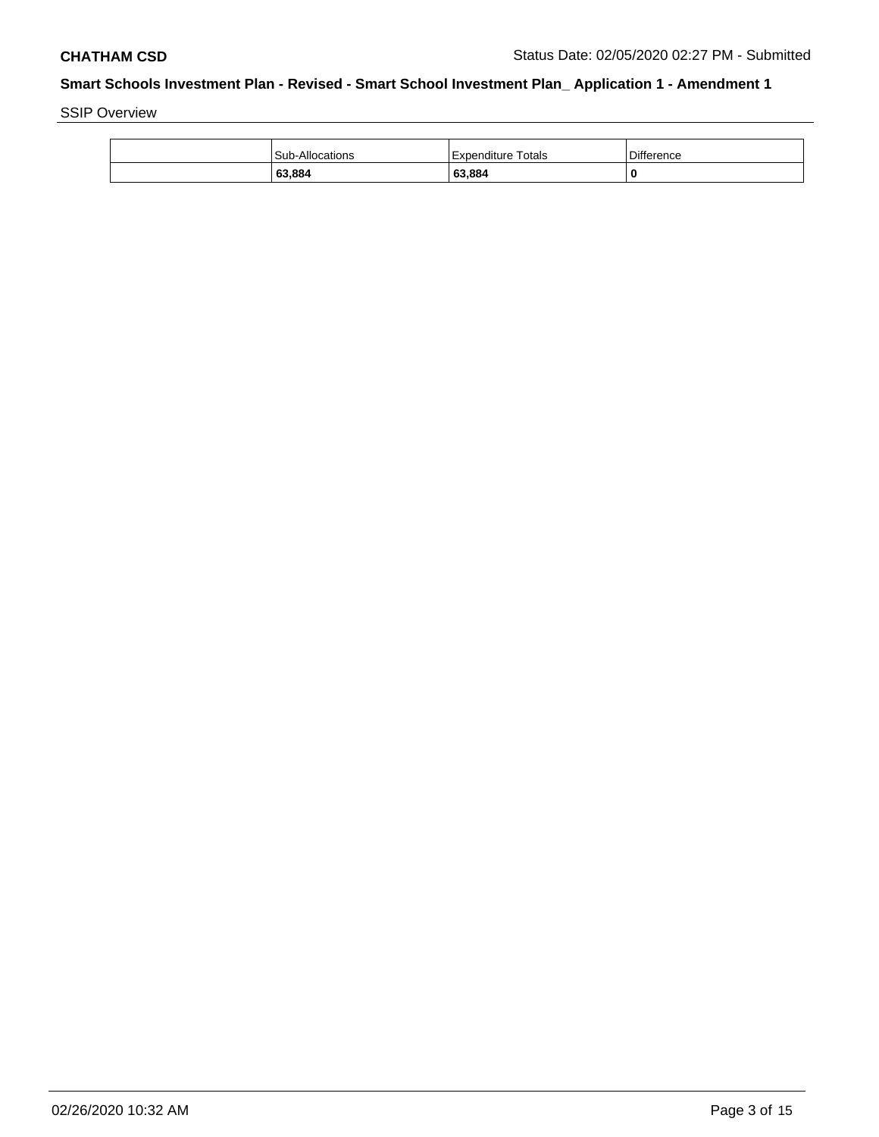SSIP Overview

| Sub-Allocations | Expenditure Totals | <b>Difference</b> |
|-----------------|--------------------|-------------------|
| 63,884          | 63,884             | 0                 |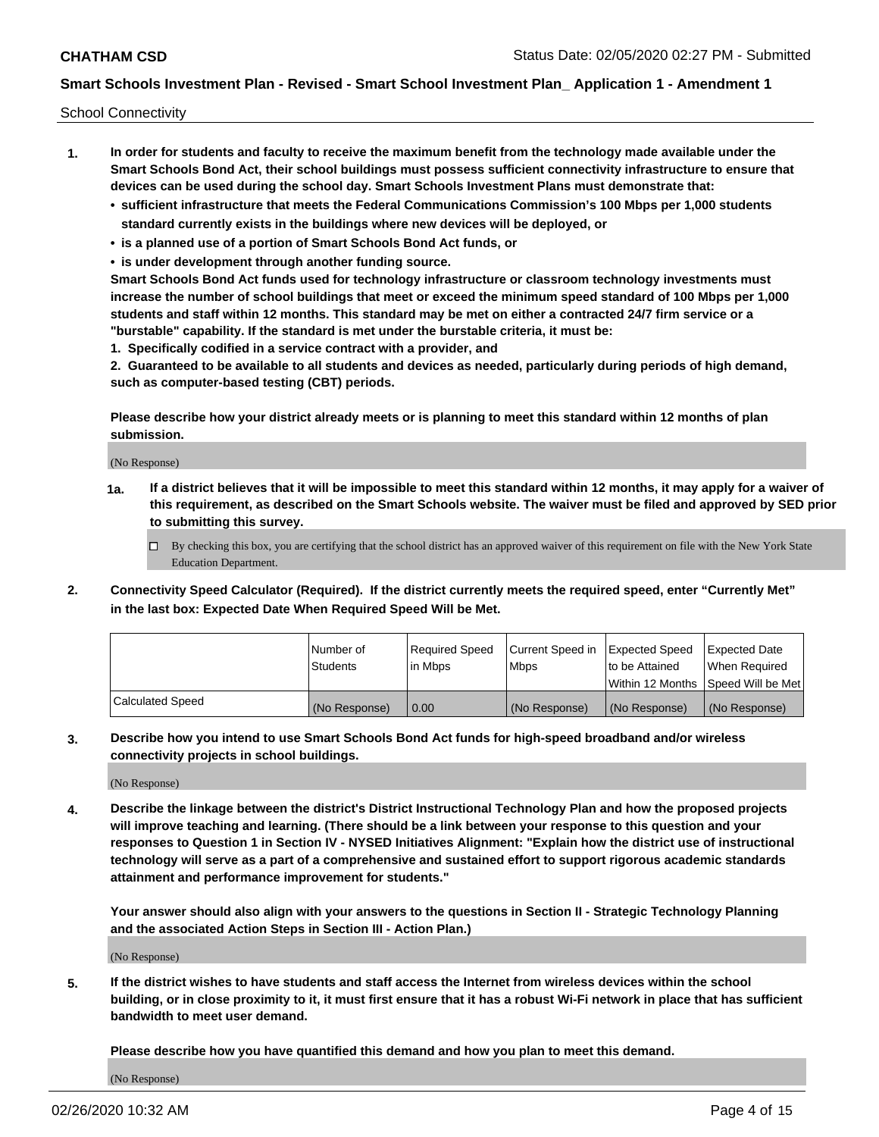School Connectivity

- **1. In order for students and faculty to receive the maximum benefit from the technology made available under the Smart Schools Bond Act, their school buildings must possess sufficient connectivity infrastructure to ensure that devices can be used during the school day. Smart Schools Investment Plans must demonstrate that:**
	- **• sufficient infrastructure that meets the Federal Communications Commission's 100 Mbps per 1,000 students standard currently exists in the buildings where new devices will be deployed, or**
	- **• is a planned use of a portion of Smart Schools Bond Act funds, or**
	- **• is under development through another funding source.**

**Smart Schools Bond Act funds used for technology infrastructure or classroom technology investments must increase the number of school buildings that meet or exceed the minimum speed standard of 100 Mbps per 1,000 students and staff within 12 months. This standard may be met on either a contracted 24/7 firm service or a "burstable" capability. If the standard is met under the burstable criteria, it must be:**

**1. Specifically codified in a service contract with a provider, and**

**2. Guaranteed to be available to all students and devices as needed, particularly during periods of high demand, such as computer-based testing (CBT) periods.**

**Please describe how your district already meets or is planning to meet this standard within 12 months of plan submission.**

(No Response)

**1a. If a district believes that it will be impossible to meet this standard within 12 months, it may apply for a waiver of this requirement, as described on the Smart Schools website. The waiver must be filed and approved by SED prior to submitting this survey.**

 $\Box$  By checking this box, you are certifying that the school district has an approved waiver of this requirement on file with the New York State Education Department.

**2. Connectivity Speed Calculator (Required). If the district currently meets the required speed, enter "Currently Met" in the last box: Expected Date When Required Speed Will be Met.**

|                  | l Number of     | Required Speed | Current Speed in | Expected Speed | Expected Date                        |
|------------------|-----------------|----------------|------------------|----------------|--------------------------------------|
|                  | <b>Students</b> | In Mbps        | <b>Mbps</b>      | to be Attained | When Required                        |
|                  |                 |                |                  |                | Within 12 Months 1Speed Will be Met1 |
| Calculated Speed | (No Response)   | 0.00           | (No Response)    | (No Response)  | l (No Response)                      |

**3. Describe how you intend to use Smart Schools Bond Act funds for high-speed broadband and/or wireless connectivity projects in school buildings.**

(No Response)

**4. Describe the linkage between the district's District Instructional Technology Plan and how the proposed projects will improve teaching and learning. (There should be a link between your response to this question and your responses to Question 1 in Section IV - NYSED Initiatives Alignment: "Explain how the district use of instructional technology will serve as a part of a comprehensive and sustained effort to support rigorous academic standards attainment and performance improvement for students."** 

**Your answer should also align with your answers to the questions in Section II - Strategic Technology Planning and the associated Action Steps in Section III - Action Plan.)**

(No Response)

**5. If the district wishes to have students and staff access the Internet from wireless devices within the school building, or in close proximity to it, it must first ensure that it has a robust Wi-Fi network in place that has sufficient bandwidth to meet user demand.**

**Please describe how you have quantified this demand and how you plan to meet this demand.**

(No Response)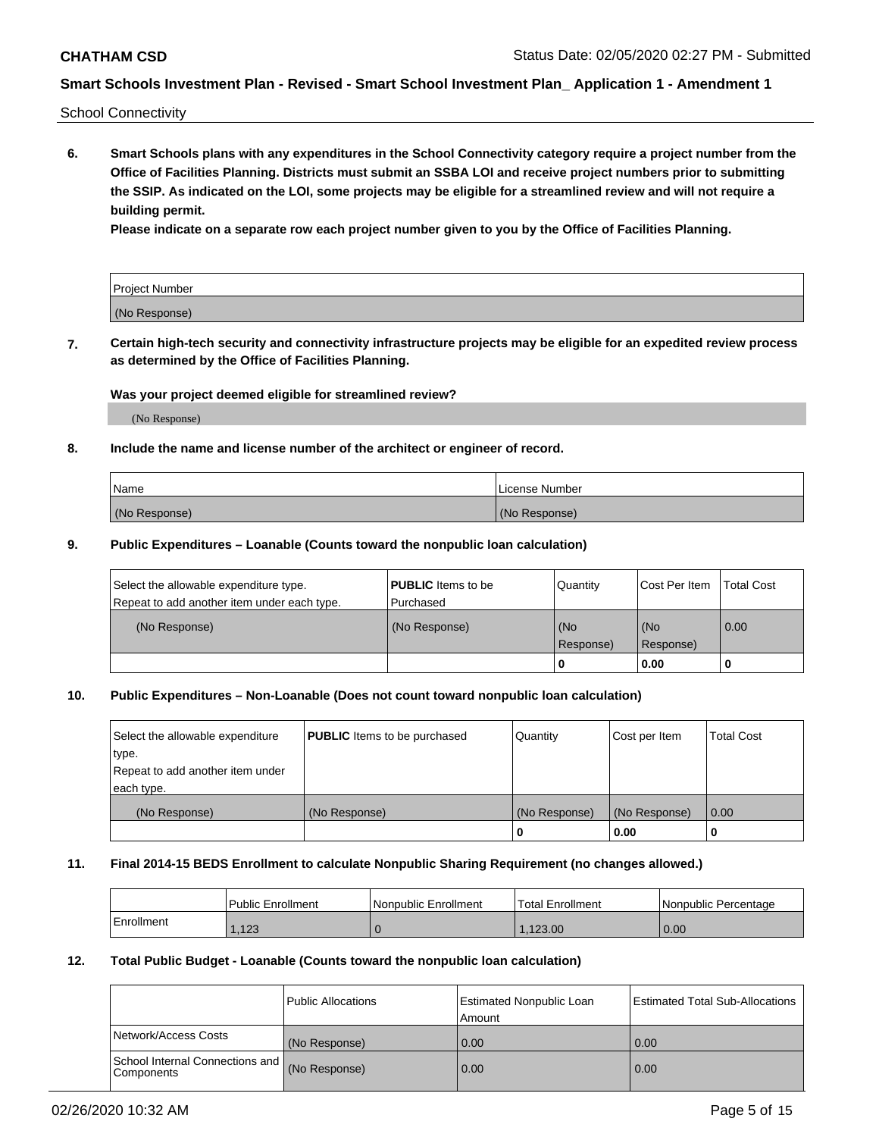School Connectivity

**6. Smart Schools plans with any expenditures in the School Connectivity category require a project number from the Office of Facilities Planning. Districts must submit an SSBA LOI and receive project numbers prior to submitting the SSIP. As indicated on the LOI, some projects may be eligible for a streamlined review and will not require a building permit.**

**Please indicate on a separate row each project number given to you by the Office of Facilities Planning.**

| Project Number |  |
|----------------|--|
| (No Response)  |  |

**7. Certain high-tech security and connectivity infrastructure projects may be eligible for an expedited review process as determined by the Office of Facilities Planning.**

### **Was your project deemed eligible for streamlined review?**

(No Response)

## **8. Include the name and license number of the architect or engineer of record.**

| Name          | License Number |
|---------------|----------------|
| (No Response) | (No Response)  |

### **9. Public Expenditures – Loanable (Counts toward the nonpublic loan calculation)**

| Select the allowable expenditure type.<br>Repeat to add another item under each type. | <b>PUBLIC</b> Items to be<br>l Purchased | Quantity           | Cost Per Item    | <b>Total Cost</b> |
|---------------------------------------------------------------------------------------|------------------------------------------|--------------------|------------------|-------------------|
| (No Response)                                                                         | (No Response)                            | l (No<br>Response) | (No<br>Response) | $\overline{0.00}$ |
|                                                                                       |                                          | 0                  | 0.00             |                   |

## **10. Public Expenditures – Non-Loanable (Does not count toward nonpublic loan calculation)**

| Select the allowable expenditure<br>type.<br>Repeat to add another item under<br>each type. | <b>PUBLIC</b> Items to be purchased | Quantity      | Cost per Item | <b>Total Cost</b> |
|---------------------------------------------------------------------------------------------|-------------------------------------|---------------|---------------|-------------------|
| (No Response)                                                                               | (No Response)                       | (No Response) | (No Response) | 0.00              |
|                                                                                             |                                     |               | 0.00          |                   |

#### **11. Final 2014-15 BEDS Enrollment to calculate Nonpublic Sharing Requirement (no changes allowed.)**

|            | Public Enrollment | Nonpublic Enrollment | 'Total Enrollment | l Nonpublic Percentage |
|------------|-------------------|----------------------|-------------------|------------------------|
| Enrollment | .123              |                      | .123.00           | 0.00                   |

### **12. Total Public Budget - Loanable (Counts toward the nonpublic loan calculation)**

|                                               | Public Allocations | <b>Estimated Nonpublic Loan</b><br>Amount | Estimated Total Sub-Allocations |
|-----------------------------------------------|--------------------|-------------------------------------------|---------------------------------|
| Network/Access Costs                          | (No Response)      | 0.00                                      | 0.00                            |
| School Internal Connections and<br>Components | (No Response)      | 0.00                                      | 0.00                            |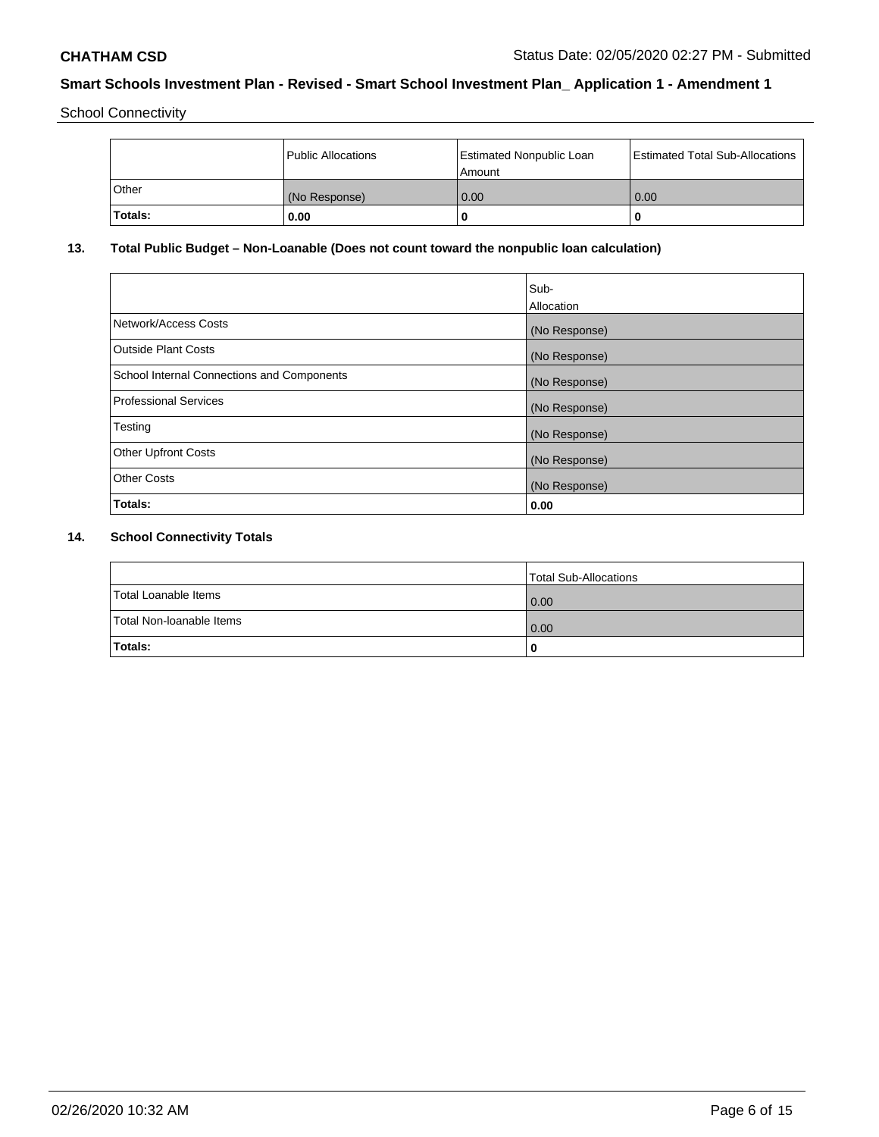School Connectivity

|         | Public Allocations | <b>Estimated Nonpublic Loan</b><br>l Amount | <b>Estimated Total Sub-Allocations</b> |
|---------|--------------------|---------------------------------------------|----------------------------------------|
| l Other | (No Response)      | 0.00                                        | 0.00                                   |
| Totals: | 0.00               | 0                                           |                                        |

# **13. Total Public Budget – Non-Loanable (Does not count toward the nonpublic loan calculation)**

|                                                   | Sub-<br>Allocation |
|---------------------------------------------------|--------------------|
| Network/Access Costs                              | (No Response)      |
| Outside Plant Costs                               | (No Response)      |
| <b>School Internal Connections and Components</b> | (No Response)      |
| Professional Services                             | (No Response)      |
| Testing                                           | (No Response)      |
| <b>Other Upfront Costs</b>                        | (No Response)      |
| <b>Other Costs</b>                                | (No Response)      |
| Totals:                                           | 0.00               |

# **14. School Connectivity Totals**

|                          | Total Sub-Allocations |
|--------------------------|-----------------------|
| Total Loanable Items     | 0.00                  |
| Total Non-Ioanable Items | 0.00                  |
| Totals:                  | 0                     |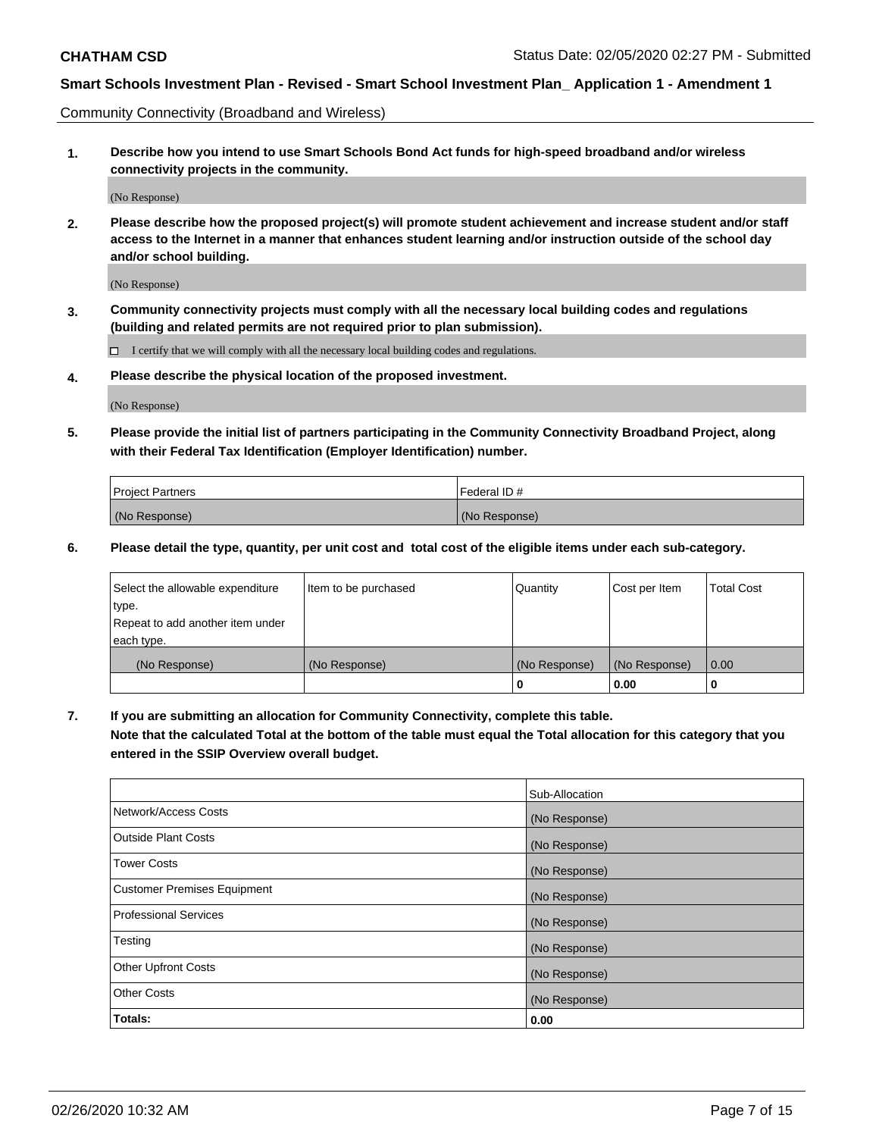Community Connectivity (Broadband and Wireless)

**1. Describe how you intend to use Smart Schools Bond Act funds for high-speed broadband and/or wireless connectivity projects in the community.**

(No Response)

**2. Please describe how the proposed project(s) will promote student achievement and increase student and/or staff access to the Internet in a manner that enhances student learning and/or instruction outside of the school day and/or school building.**

(No Response)

**3. Community connectivity projects must comply with all the necessary local building codes and regulations (building and related permits are not required prior to plan submission).**

 $\Box$  I certify that we will comply with all the necessary local building codes and regulations.

**4. Please describe the physical location of the proposed investment.**

(No Response)

**5. Please provide the initial list of partners participating in the Community Connectivity Broadband Project, along with their Federal Tax Identification (Employer Identification) number.**

| <b>Project Partners</b> | l Federal ID # |
|-------------------------|----------------|
| (No Response)           | (No Response)  |

**6. Please detail the type, quantity, per unit cost and total cost of the eligible items under each sub-category.**

| Select the allowable expenditure | Item to be purchased | Quantity      | Cost per Item | <b>Total Cost</b> |
|----------------------------------|----------------------|---------------|---------------|-------------------|
| type.                            |                      |               |               |                   |
| Repeat to add another item under |                      |               |               |                   |
| each type.                       |                      |               |               |                   |
| (No Response)                    | (No Response)        | (No Response) | (No Response) | 0.00              |
|                                  |                      | o             | 0.00          |                   |

**7. If you are submitting an allocation for Community Connectivity, complete this table.**

**Note that the calculated Total at the bottom of the table must equal the Total allocation for this category that you entered in the SSIP Overview overall budget.**

|                                    | Sub-Allocation |
|------------------------------------|----------------|
| Network/Access Costs               | (No Response)  |
| Outside Plant Costs                | (No Response)  |
| <b>Tower Costs</b>                 | (No Response)  |
| <b>Customer Premises Equipment</b> | (No Response)  |
| <b>Professional Services</b>       | (No Response)  |
| Testing                            | (No Response)  |
| <b>Other Upfront Costs</b>         | (No Response)  |
| <b>Other Costs</b>                 | (No Response)  |
| Totals:                            | 0.00           |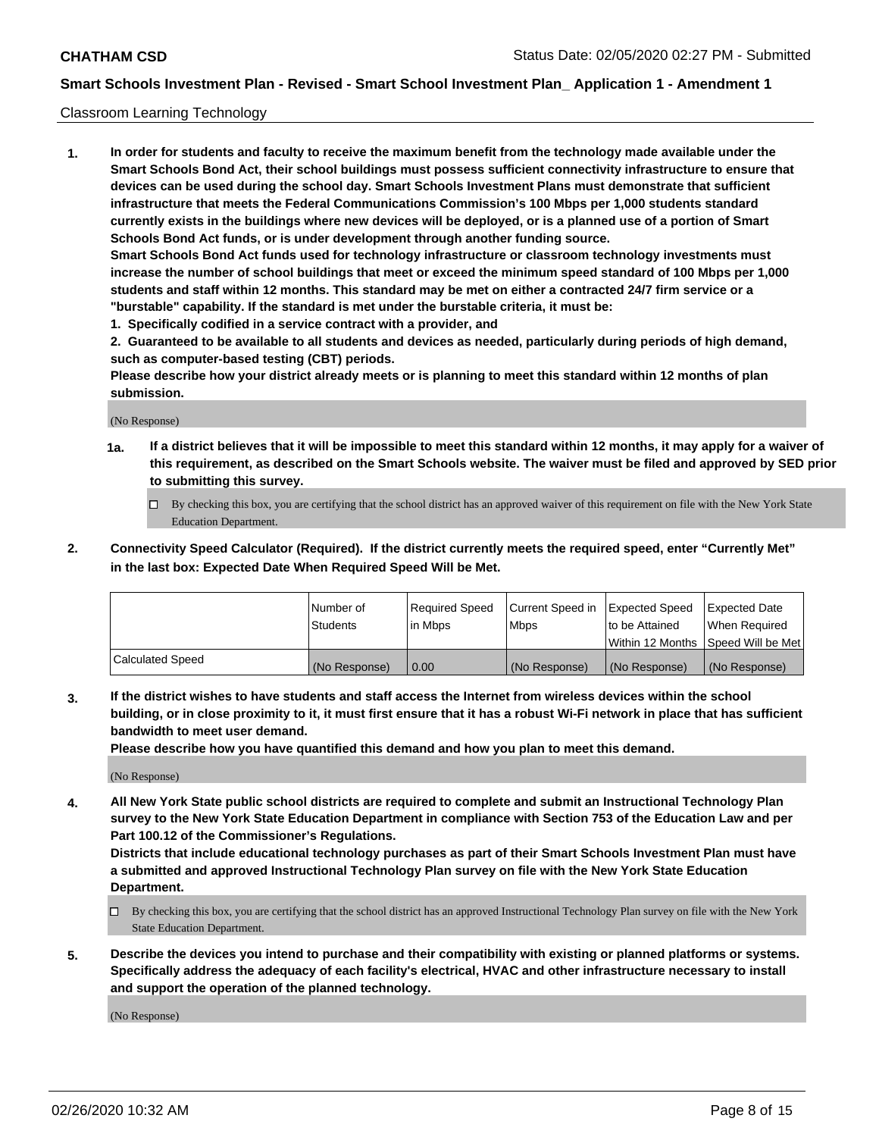### Classroom Learning Technology

**1. In order for students and faculty to receive the maximum benefit from the technology made available under the Smart Schools Bond Act, their school buildings must possess sufficient connectivity infrastructure to ensure that devices can be used during the school day. Smart Schools Investment Plans must demonstrate that sufficient infrastructure that meets the Federal Communications Commission's 100 Mbps per 1,000 students standard currently exists in the buildings where new devices will be deployed, or is a planned use of a portion of Smart Schools Bond Act funds, or is under development through another funding source. Smart Schools Bond Act funds used for technology infrastructure or classroom technology investments must increase the number of school buildings that meet or exceed the minimum speed standard of 100 Mbps per 1,000 students and staff within 12 months. This standard may be met on either a contracted 24/7 firm service or a "burstable" capability. If the standard is met under the burstable criteria, it must be:**

**1. Specifically codified in a service contract with a provider, and**

**2. Guaranteed to be available to all students and devices as needed, particularly during periods of high demand, such as computer-based testing (CBT) periods.**

**Please describe how your district already meets or is planning to meet this standard within 12 months of plan submission.**

(No Response)

- **1a. If a district believes that it will be impossible to meet this standard within 12 months, it may apply for a waiver of this requirement, as described on the Smart Schools website. The waiver must be filed and approved by SED prior to submitting this survey.**
	- By checking this box, you are certifying that the school district has an approved waiver of this requirement on file with the New York State Education Department.
- **2. Connectivity Speed Calculator (Required). If the district currently meets the required speed, enter "Currently Met" in the last box: Expected Date When Required Speed Will be Met.**

|                  | l Number of     | Required Speed | Current Speed in | <b>Expected Speed</b> | <b>Expected Date</b>                |
|------------------|-----------------|----------------|------------------|-----------------------|-------------------------------------|
|                  | <b>Students</b> | l in Mbps      | l Mbps           | to be Attained        | When Required                       |
|                  |                 |                |                  |                       | Within 12 Months  Speed Will be Met |
| Calculated Speed | (No Response)   | 0.00           | (No Response)    | l (No Response)       | (No Response)                       |

**3. If the district wishes to have students and staff access the Internet from wireless devices within the school building, or in close proximity to it, it must first ensure that it has a robust Wi-Fi network in place that has sufficient bandwidth to meet user demand.**

**Please describe how you have quantified this demand and how you plan to meet this demand.**

(No Response)

**4. All New York State public school districts are required to complete and submit an Instructional Technology Plan survey to the New York State Education Department in compliance with Section 753 of the Education Law and per Part 100.12 of the Commissioner's Regulations.**

**Districts that include educational technology purchases as part of their Smart Schools Investment Plan must have a submitted and approved Instructional Technology Plan survey on file with the New York State Education Department.**

- By checking this box, you are certifying that the school district has an approved Instructional Technology Plan survey on file with the New York State Education Department.
- **5. Describe the devices you intend to purchase and their compatibility with existing or planned platforms or systems. Specifically address the adequacy of each facility's electrical, HVAC and other infrastructure necessary to install and support the operation of the planned technology.**

(No Response)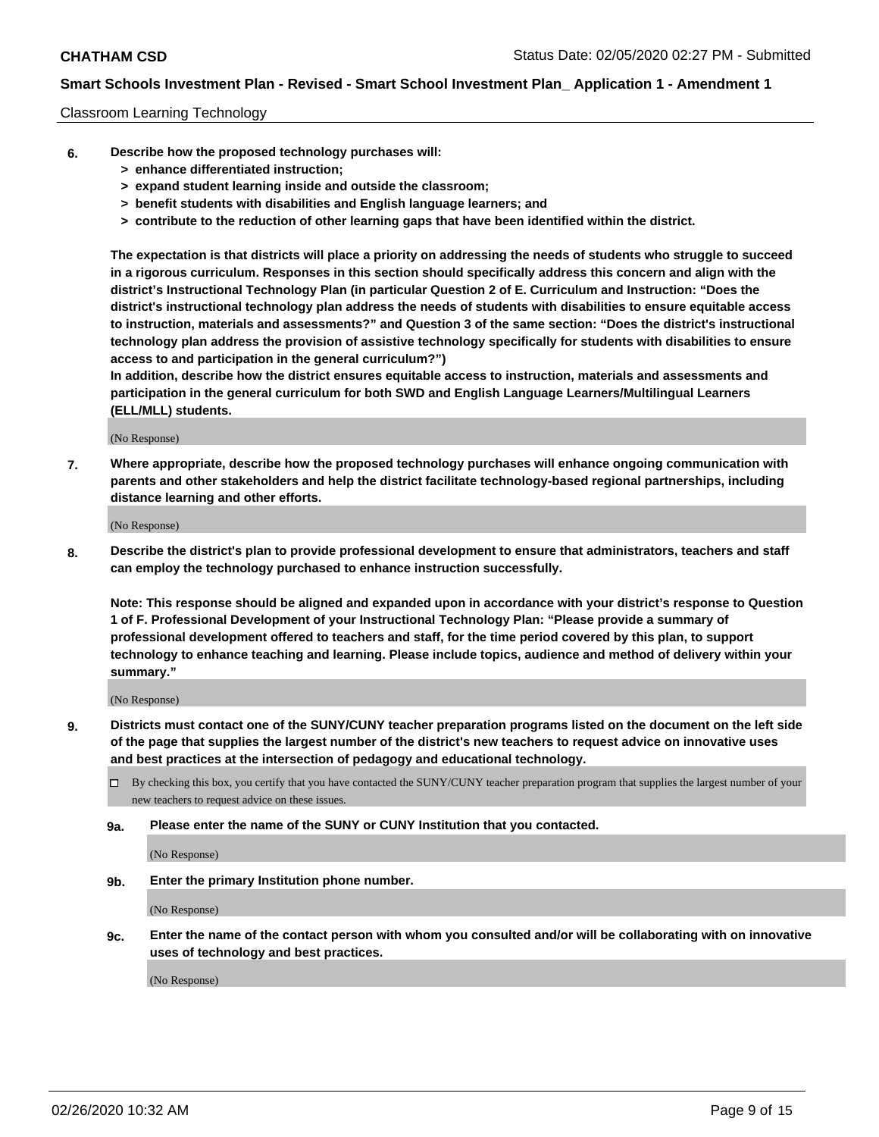### Classroom Learning Technology

- **6. Describe how the proposed technology purchases will:**
	- **> enhance differentiated instruction;**
	- **> expand student learning inside and outside the classroom;**
	- **> benefit students with disabilities and English language learners; and**
	- **> contribute to the reduction of other learning gaps that have been identified within the district.**

**The expectation is that districts will place a priority on addressing the needs of students who struggle to succeed in a rigorous curriculum. Responses in this section should specifically address this concern and align with the district's Instructional Technology Plan (in particular Question 2 of E. Curriculum and Instruction: "Does the district's instructional technology plan address the needs of students with disabilities to ensure equitable access to instruction, materials and assessments?" and Question 3 of the same section: "Does the district's instructional technology plan address the provision of assistive technology specifically for students with disabilities to ensure access to and participation in the general curriculum?")**

**In addition, describe how the district ensures equitable access to instruction, materials and assessments and participation in the general curriculum for both SWD and English Language Learners/Multilingual Learners (ELL/MLL) students.**

(No Response)

**7. Where appropriate, describe how the proposed technology purchases will enhance ongoing communication with parents and other stakeholders and help the district facilitate technology-based regional partnerships, including distance learning and other efforts.**

(No Response)

**8. Describe the district's plan to provide professional development to ensure that administrators, teachers and staff can employ the technology purchased to enhance instruction successfully.**

**Note: This response should be aligned and expanded upon in accordance with your district's response to Question 1 of F. Professional Development of your Instructional Technology Plan: "Please provide a summary of professional development offered to teachers and staff, for the time period covered by this plan, to support technology to enhance teaching and learning. Please include topics, audience and method of delivery within your summary."**

(No Response)

- **9. Districts must contact one of the SUNY/CUNY teacher preparation programs listed on the document on the left side of the page that supplies the largest number of the district's new teachers to request advice on innovative uses and best practices at the intersection of pedagogy and educational technology.**
	- By checking this box, you certify that you have contacted the SUNY/CUNY teacher preparation program that supplies the largest number of your new teachers to request advice on these issues.
	- **9a. Please enter the name of the SUNY or CUNY Institution that you contacted.**

(No Response)

**9b. Enter the primary Institution phone number.**

(No Response)

**9c. Enter the name of the contact person with whom you consulted and/or will be collaborating with on innovative uses of technology and best practices.**

(No Response)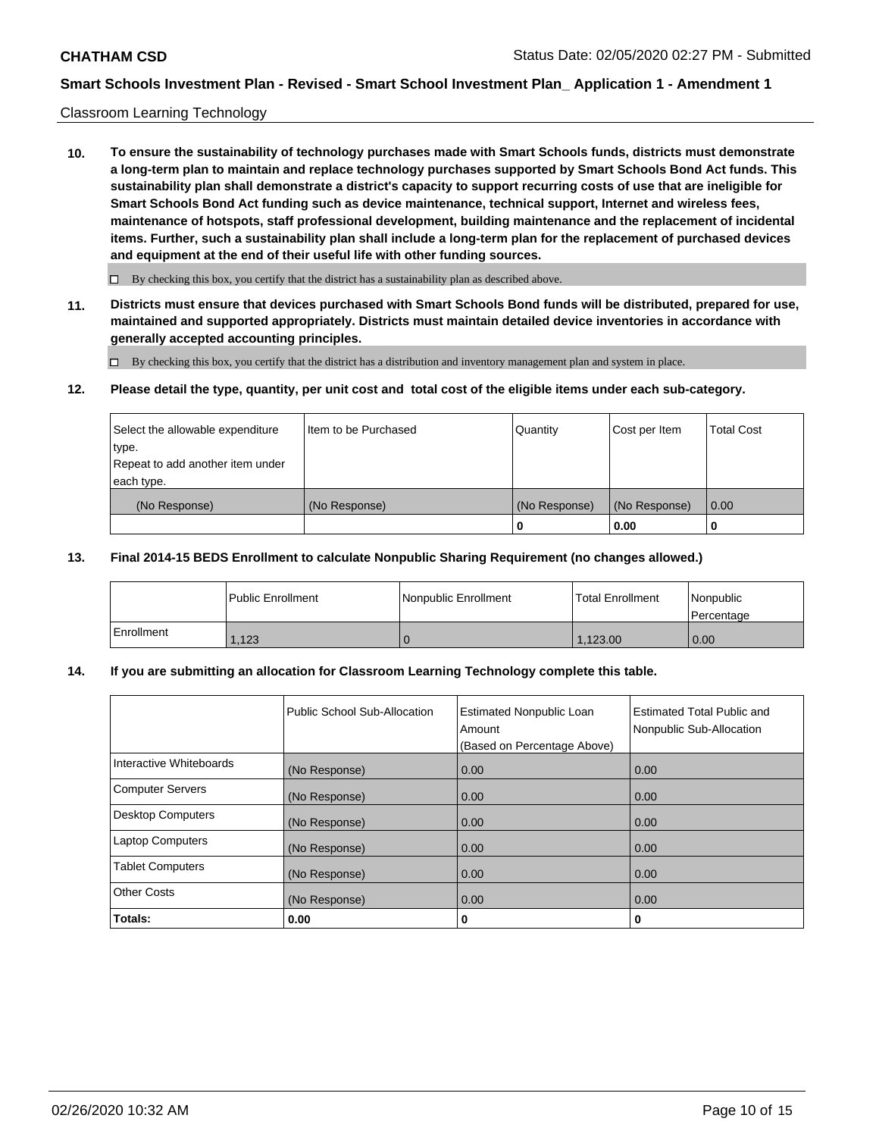### Classroom Learning Technology

**10. To ensure the sustainability of technology purchases made with Smart Schools funds, districts must demonstrate a long-term plan to maintain and replace technology purchases supported by Smart Schools Bond Act funds. This sustainability plan shall demonstrate a district's capacity to support recurring costs of use that are ineligible for Smart Schools Bond Act funding such as device maintenance, technical support, Internet and wireless fees, maintenance of hotspots, staff professional development, building maintenance and the replacement of incidental items. Further, such a sustainability plan shall include a long-term plan for the replacement of purchased devices and equipment at the end of their useful life with other funding sources.**

 $\Box$  By checking this box, you certify that the district has a sustainability plan as described above.

**11. Districts must ensure that devices purchased with Smart Schools Bond funds will be distributed, prepared for use, maintained and supported appropriately. Districts must maintain detailed device inventories in accordance with generally accepted accounting principles.**

By checking this box, you certify that the district has a distribution and inventory management plan and system in place.

### **12. Please detail the type, quantity, per unit cost and total cost of the eligible items under each sub-category.**

| Select the allowable expenditure<br>type.<br>Repeat to add another item under | Item to be Purchased | Quantity      | Cost per Item | <b>Total Cost</b> |
|-------------------------------------------------------------------------------|----------------------|---------------|---------------|-------------------|
| each type.<br>(No Response)                                                   | (No Response)        | (No Response) | (No Response) | 0.00              |
|                                                                               |                      | 0             | 0.00          |                   |

### **13. Final 2014-15 BEDS Enrollment to calculate Nonpublic Sharing Requirement (no changes allowed.)**

|            | l Public Enrollment | <b>INonpublic Enrollment</b> | <b>Total Enrollment</b> | Nonpublic<br>l Percentage |
|------------|---------------------|------------------------------|-------------------------|---------------------------|
| Enrollment | 1,123               |                              | 1.123.00                | 0.00                      |

## **14. If you are submitting an allocation for Classroom Learning Technology complete this table.**

|                         | Public School Sub-Allocation | <b>Estimated Nonpublic Loan</b><br>Amount<br>(Based on Percentage Above) | Estimated Total Public and<br>Nonpublic Sub-Allocation |
|-------------------------|------------------------------|--------------------------------------------------------------------------|--------------------------------------------------------|
| Interactive Whiteboards | (No Response)                | 0.00                                                                     | 0.00                                                   |
| Computer Servers        | (No Response)                | 0.00                                                                     | 0.00                                                   |
| Desktop Computers       | (No Response)                | 0.00                                                                     | 0.00                                                   |
| <b>Laptop Computers</b> | (No Response)                | 0.00                                                                     | 0.00                                                   |
| <b>Tablet Computers</b> | (No Response)                | 0.00                                                                     | 0.00                                                   |
| Other Costs             | (No Response)                | 0.00                                                                     | 0.00                                                   |
| Totals:                 | 0.00                         | 0                                                                        | 0                                                      |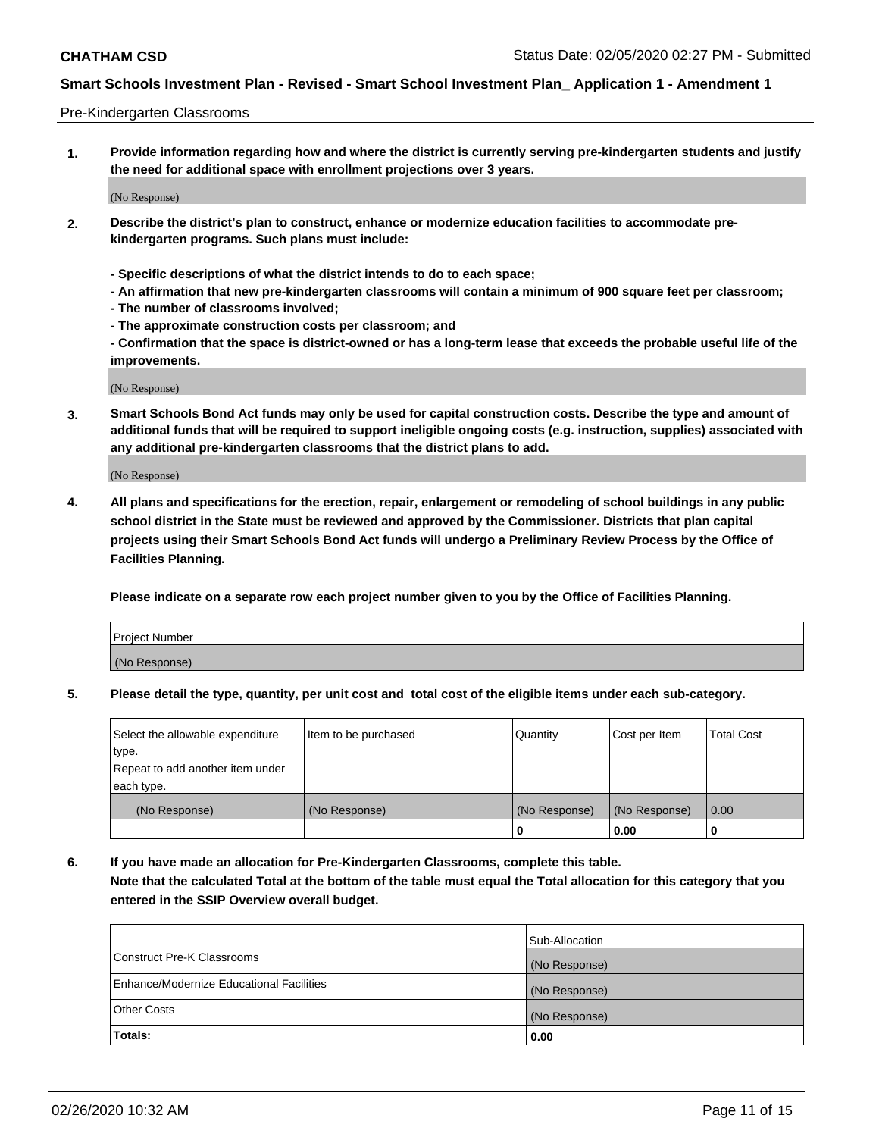### Pre-Kindergarten Classrooms

**1. Provide information regarding how and where the district is currently serving pre-kindergarten students and justify the need for additional space with enrollment projections over 3 years.**

(No Response)

- **2. Describe the district's plan to construct, enhance or modernize education facilities to accommodate prekindergarten programs. Such plans must include:**
	- **Specific descriptions of what the district intends to do to each space;**
	- **An affirmation that new pre-kindergarten classrooms will contain a minimum of 900 square feet per classroom;**
	- **The number of classrooms involved;**
	- **The approximate construction costs per classroom; and**
	- **Confirmation that the space is district-owned or has a long-term lease that exceeds the probable useful life of the improvements.**

(No Response)

**3. Smart Schools Bond Act funds may only be used for capital construction costs. Describe the type and amount of additional funds that will be required to support ineligible ongoing costs (e.g. instruction, supplies) associated with any additional pre-kindergarten classrooms that the district plans to add.**

(No Response)

**4. All plans and specifications for the erection, repair, enlargement or remodeling of school buildings in any public school district in the State must be reviewed and approved by the Commissioner. Districts that plan capital projects using their Smart Schools Bond Act funds will undergo a Preliminary Review Process by the Office of Facilities Planning.**

**Please indicate on a separate row each project number given to you by the Office of Facilities Planning.**

| Project Number |  |
|----------------|--|
| (No Response)  |  |
|                |  |

**5. Please detail the type, quantity, per unit cost and total cost of the eligible items under each sub-category.**

| Select the allowable expenditure | Item to be purchased | Quantity      | Cost per Item | <b>Total Cost</b> |
|----------------------------------|----------------------|---------------|---------------|-------------------|
| type.                            |                      |               |               |                   |
| Repeat to add another item under |                      |               |               |                   |
| each type.                       |                      |               |               |                   |
| (No Response)                    | (No Response)        | (No Response) | (No Response) | 0.00              |
|                                  |                      | U             | 0.00          |                   |

**6. If you have made an allocation for Pre-Kindergarten Classrooms, complete this table. Note that the calculated Total at the bottom of the table must equal the Total allocation for this category that you entered in the SSIP Overview overall budget.**

|                                          | Sub-Allocation |
|------------------------------------------|----------------|
| Construct Pre-K Classrooms               | (No Response)  |
| Enhance/Modernize Educational Facilities | (No Response)  |
| <b>Other Costs</b>                       | (No Response)  |
| Totals:                                  | 0.00           |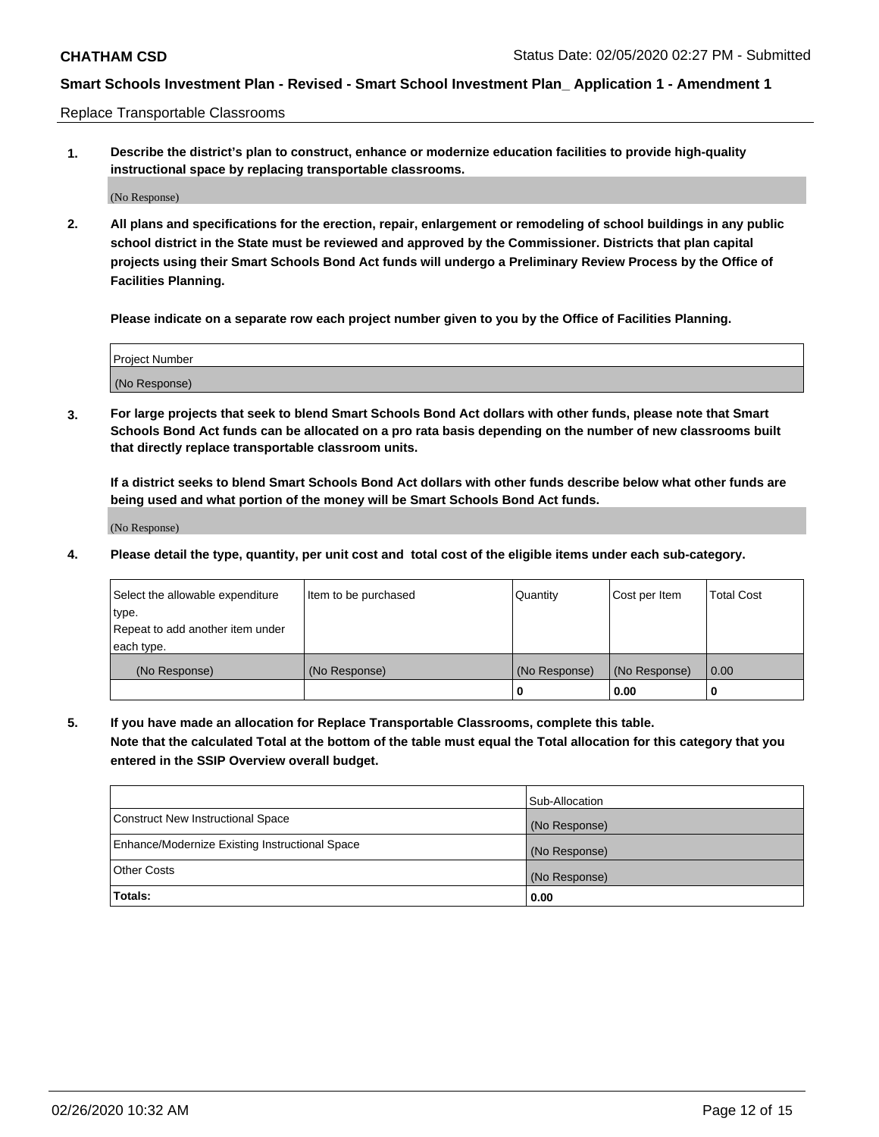Replace Transportable Classrooms

**1. Describe the district's plan to construct, enhance or modernize education facilities to provide high-quality instructional space by replacing transportable classrooms.**

(No Response)

**2. All plans and specifications for the erection, repair, enlargement or remodeling of school buildings in any public school district in the State must be reviewed and approved by the Commissioner. Districts that plan capital projects using their Smart Schools Bond Act funds will undergo a Preliminary Review Process by the Office of Facilities Planning.**

**Please indicate on a separate row each project number given to you by the Office of Facilities Planning.**

| Project Number |  |
|----------------|--|
|                |  |
|                |  |
|                |  |
| (No Response)  |  |
|                |  |
|                |  |

**3. For large projects that seek to blend Smart Schools Bond Act dollars with other funds, please note that Smart Schools Bond Act funds can be allocated on a pro rata basis depending on the number of new classrooms built that directly replace transportable classroom units.**

**If a district seeks to blend Smart Schools Bond Act dollars with other funds describe below what other funds are being used and what portion of the money will be Smart Schools Bond Act funds.**

(No Response)

**4. Please detail the type, quantity, per unit cost and total cost of the eligible items under each sub-category.**

| Select the allowable expenditure | Item to be purchased | Quantity      | Cost per Item | <b>Total Cost</b> |
|----------------------------------|----------------------|---------------|---------------|-------------------|
| ∣type.                           |                      |               |               |                   |
| Repeat to add another item under |                      |               |               |                   |
| each type.                       |                      |               |               |                   |
| (No Response)                    | (No Response)        | (No Response) | (No Response) | 0.00              |
|                                  |                      | 0             | 0.00          |                   |

**5. If you have made an allocation for Replace Transportable Classrooms, complete this table. Note that the calculated Total at the bottom of the table must equal the Total allocation for this category that you entered in the SSIP Overview overall budget.**

|                                                | Sub-Allocation |
|------------------------------------------------|----------------|
| Construct New Instructional Space              | (No Response)  |
| Enhance/Modernize Existing Instructional Space | (No Response)  |
| <b>Other Costs</b>                             | (No Response)  |
| Totals:                                        | 0.00           |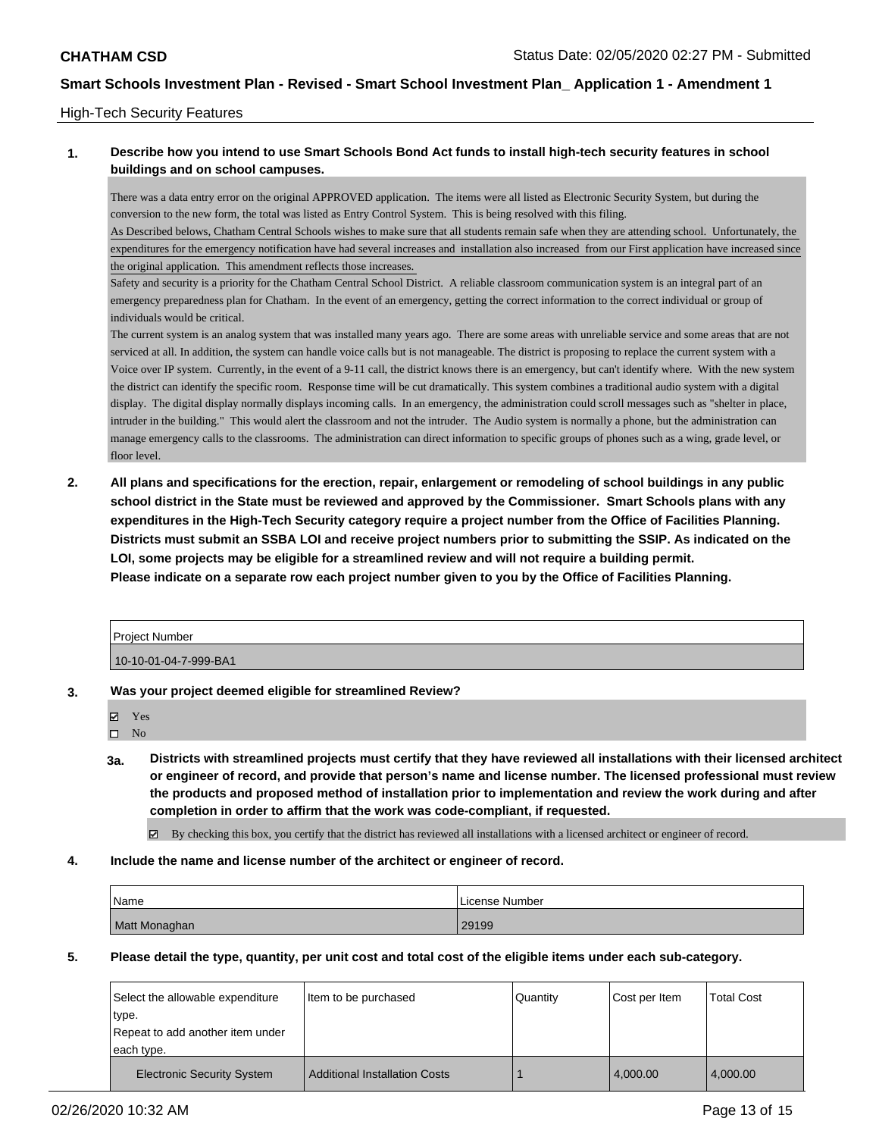### High-Tech Security Features

## **1. Describe how you intend to use Smart Schools Bond Act funds to install high-tech security features in school buildings and on school campuses.**

There was a data entry error on the original APPROVED application. The items were all listed as Electronic Security System, but during the conversion to the new form, the total was listed as Entry Control System. This is being resolved with this filing.

As Described belows, Chatham Central Schools wishes to make sure that all students remain safe when they are attending school. Unfortunately, the expenditures for the emergency notification have had several increases and installation also increased from our First application have increased since the original application. This amendment reflects those increases.

Safety and security is a priority for the Chatham Central School District. A reliable classroom communication system is an integral part of an emergency preparedness plan for Chatham. In the event of an emergency, getting the correct information to the correct individual or group of individuals would be critical.

The current system is an analog system that was installed many years ago. There are some areas with unreliable service and some areas that are not serviced at all. In addition, the system can handle voice calls but is not manageable. The district is proposing to replace the current system with a Voice over IP system. Currently, in the event of a 9-11 call, the district knows there is an emergency, but can't identify where. With the new system the district can identify the specific room. Response time will be cut dramatically. This system combines a traditional audio system with a digital display. The digital display normally displays incoming calls. In an emergency, the administration could scroll messages such as "shelter in place, intruder in the building." This would alert the classroom and not the intruder. The Audio system is normally a phone, but the administration can manage emergency calls to the classrooms. The administration can direct information to specific groups of phones such as a wing, grade level, or floor level.

**2. All plans and specifications for the erection, repair, enlargement or remodeling of school buildings in any public school district in the State must be reviewed and approved by the Commissioner. Smart Schools plans with any expenditures in the High-Tech Security category require a project number from the Office of Facilities Planning. Districts must submit an SSBA LOI and receive project numbers prior to submitting the SSIP. As indicated on the LOI, some projects may be eligible for a streamlined review and will not require a building permit. Please indicate on a separate row each project number given to you by the Office of Facilities Planning.**

| l Proiect Number      |  |
|-----------------------|--|
| 10-10-01-04-7-999-BA1 |  |

- **3. Was your project deemed eligible for streamlined Review?**
	- Yes

 $\square$  No

- **3a. Districts with streamlined projects must certify that they have reviewed all installations with their licensed architect or engineer of record, and provide that person's name and license number. The licensed professional must review the products and proposed method of installation prior to implementation and review the work during and after completion in order to affirm that the work was code-compliant, if requested.**
	- By checking this box, you certify that the district has reviewed all installations with a licensed architect or engineer of record.
- **4. Include the name and license number of the architect or engineer of record.**

| Name          | License Number |
|---------------|----------------|
| Matt Monaghan | 29199          |

**5. Please detail the type, quantity, per unit cost and total cost of the eligible items under each sub-category.**

| Select the allowable expenditure<br>type.<br>Repeat to add another item under<br>each type. | Item to be purchased                 | Quantity | Cost per Item | <b>Total Cost</b> |
|---------------------------------------------------------------------------------------------|--------------------------------------|----------|---------------|-------------------|
| <b>Electronic Security System</b>                                                           | <b>Additional Installation Costs</b> |          | 4.000.00      | 4,000.00          |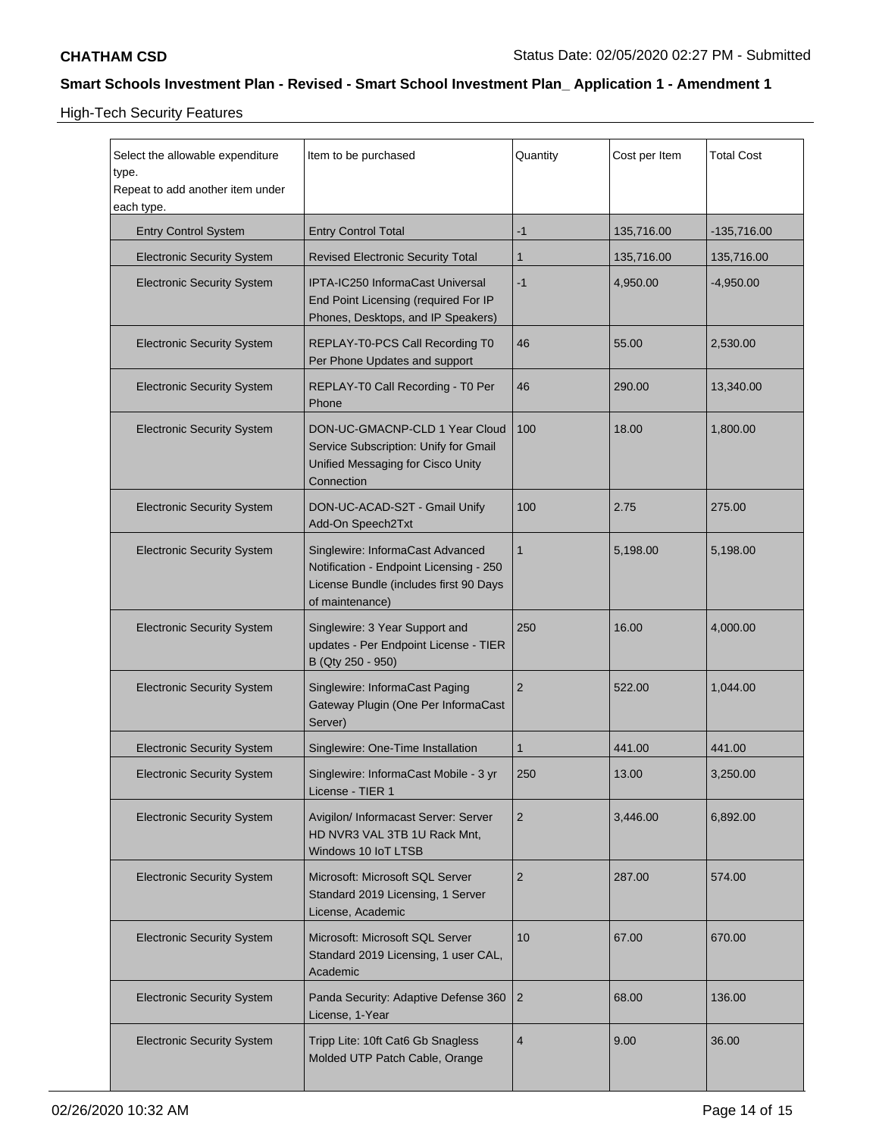High-Tech Security Features

| Select the allowable expenditure<br>type.<br>Repeat to add another item under<br>each type. | Item to be purchased                                                                                                                     | Quantity       | Cost per Item | <b>Total Cost</b> |
|---------------------------------------------------------------------------------------------|------------------------------------------------------------------------------------------------------------------------------------------|----------------|---------------|-------------------|
| <b>Entry Control System</b>                                                                 | <b>Entry Control Total</b>                                                                                                               | $-1$           | 135,716.00    | $-135,716.00$     |
| <b>Electronic Security System</b>                                                           | <b>Revised Electronic Security Total</b>                                                                                                 | $\mathbf 1$    | 135,716.00    | 135,716.00        |
| <b>Electronic Security System</b>                                                           | IPTA-IC250 InformaCast Universal<br>End Point Licensing (required For IP<br>Phones, Desktops, and IP Speakers)                           | $-1$           | 4,950.00      | -4,950.00         |
| <b>Electronic Security System</b>                                                           | REPLAY-T0-PCS Call Recording T0<br>Per Phone Updates and support                                                                         | 46             | 55.00         | 2,530.00          |
| <b>Electronic Security System</b>                                                           | REPLAY-T0 Call Recording - T0 Per<br>Phone                                                                                               | 46             | 290.00        | 13,340.00         |
| <b>Electronic Security System</b>                                                           | DON-UC-GMACNP-CLD 1 Year Cloud<br>Service Subscription: Unify for Gmail<br>Unified Messaging for Cisco Unity<br>Connection               | 100            | 18.00         | 1,800.00          |
| <b>Electronic Security System</b>                                                           | DON-UC-ACAD-S2T - Gmail Unify<br>Add-On Speech2Txt                                                                                       | 100            | 2.75          | 275.00            |
| <b>Electronic Security System</b>                                                           | Singlewire: InformaCast Advanced<br>Notification - Endpoint Licensing - 250<br>License Bundle (includes first 90 Days<br>of maintenance) | $\mathbf{1}$   | 5,198.00      | 5,198.00          |
| <b>Electronic Security System</b>                                                           | Singlewire: 3 Year Support and<br>updates - Per Endpoint License - TIER<br>B (Qty 250 - 950)                                             | 250            | 16.00         | 4,000.00          |
| <b>Electronic Security System</b>                                                           | Singlewire: InformaCast Paging<br>Gateway Plugin (One Per InformaCast<br>Server)                                                         | 2              | 522.00        | 1,044.00          |
| <b>Electronic Security System</b>                                                           | Singlewire: One-Time Installation                                                                                                        | 1              | 441.00        | 441.00            |
| <b>Electronic Security System</b>                                                           | Singlewire: InformaCast Mobile - 3 yr<br>License - TIER 1                                                                                | 250            | 13.00         | 3.250.00          |
| <b>Electronic Security System</b>                                                           | Avigilon/ Informacast Server: Server<br>HD NVR3 VAL 3TB 1U Rack Mnt,<br>Windows 10 IoT LTSB                                              | $\overline{2}$ | 3,446.00      | 6,892.00          |
| <b>Electronic Security System</b>                                                           | Microsoft: Microsoft SQL Server<br>Standard 2019 Licensing, 1 Server<br>License, Academic                                                | $\overline{2}$ | 287.00        | 574.00            |
| <b>Electronic Security System</b>                                                           | Microsoft: Microsoft SQL Server<br>Standard 2019 Licensing, 1 user CAL,<br>Academic                                                      | 10             | 67.00         | 670.00            |
| <b>Electronic Security System</b>                                                           | Panda Security: Adaptive Defense 360<br>License, 1-Year                                                                                  | $\overline{2}$ | 68.00         | 136.00            |
| <b>Electronic Security System</b>                                                           | Tripp Lite: 10ft Cat6 Gb Snagless<br>Molded UTP Patch Cable, Orange                                                                      | 4              | 9.00          | 36.00             |